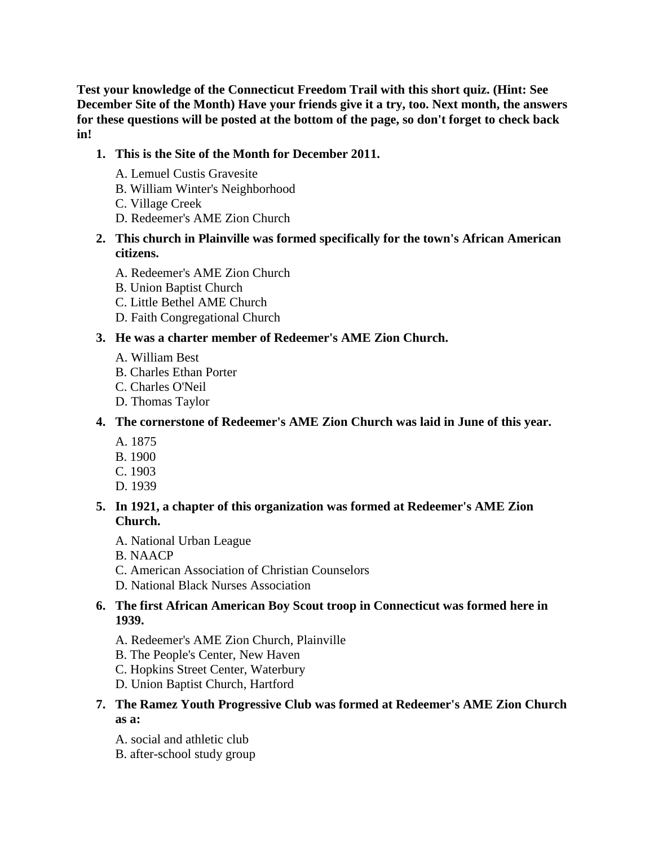**Test your knowledge of the Connecticut Freedom Trail with this short quiz. (Hint: See December Site of the Month) Have your friends give it a try, too. Next month, the answers for these questions will be posted at the bottom of the page, so don't forget to check back in!**

## **1. This is the Site of the Month for December 2011.**

- A. Lemuel Custis Gravesite
- B. William Winter's Neighborhood
- C. Village Creek
- D. Redeemer's AME Zion Church

## **2. This church in Plainville was formed specifically for the town's African American citizens.**

- A. Redeemer's AME Zion Church
- B. Union Baptist Church
- C. Little Bethel AME Church
- D. Faith Congregational Church

# **3. He was a charter member of Redeemer's AME Zion Church.**

- A. William Best
- B. Charles Ethan Porter
- C. Charles O'Neil
- D. Thomas Taylor
- **4. The cornerstone of Redeemer's AME Zion Church was laid in June of this year.** 
	- A. 1875
	- B. 1900
	- C. 1903
	- D. 1939

## **5. In 1921, a chapter of this organization was formed at Redeemer's AME Zion Church.**

- A. National Urban League
- B. NAACP
- C. American Association of Christian Counselors
- D. National Black Nurses Association

### **6. The first African American Boy Scout troop in Connecticut was formed here in 1939.**

- A. Redeemer's AME Zion Church, Plainville
- B. The People's Center, New Haven
- C. Hopkins Street Center, Waterbury
- D. Union Baptist Church, Hartford
- **7. The Ramez Youth Progressive Club was formed at Redeemer's AME Zion Church as a:** 
	- A. social and athletic club
	- B. after-school study group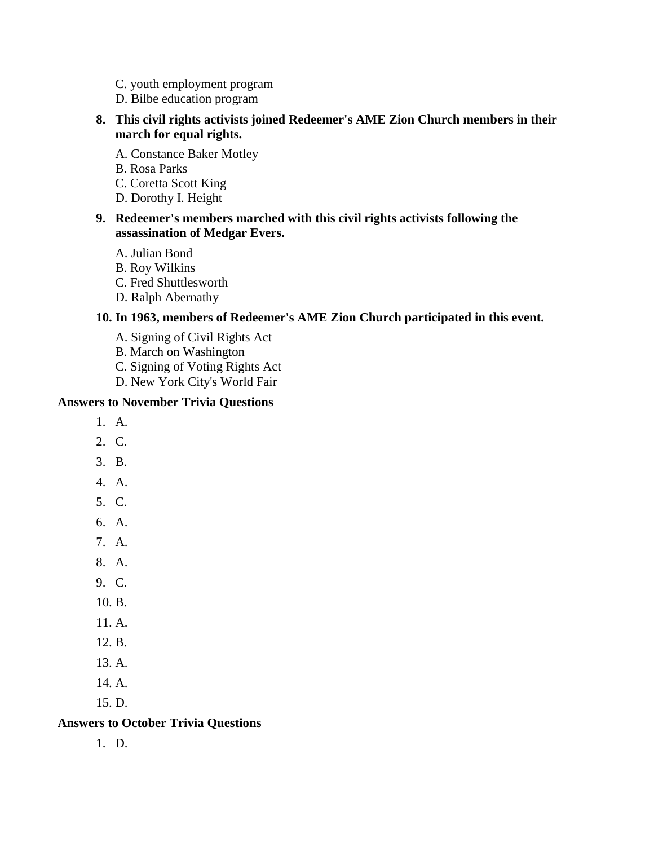- C. youth employment program
- D. Bilbe education program

### **8. This civil rights activists joined Redeemer's AME Zion Church members in their march for equal rights.**

- A. Constance Baker Motley
- B. Rosa Parks
- C. Coretta Scott King
- D. Dorothy I. Height

#### **9. Redeemer's members marched with this civil rights activists following the assassination of Medgar Evers.**

- A. Julian Bond
- B. Roy Wilkins
- C. Fred Shuttlesworth
- D. Ralph Abernathy

#### **10. In 1963, members of Redeemer's AME Zion Church participated in this event.**

- A. Signing of Civil Rights Act
- B. March on Washington
- C. Signing of Voting Rights Act
- D. New York City's World Fair

#### **Answers to November Trivia Questions**

- 1. A.
- 2. C.
- 3. B.
- 4. A.
- 5. C.
- 6. A.
- 7. A.
- 8. A.
- 9. C.
- 10. B.
- 11. A.
- 12. B.
- 13. A.
- 14. A.
- 15. D.

### **Answers to October Trivia Questions**

1. D.